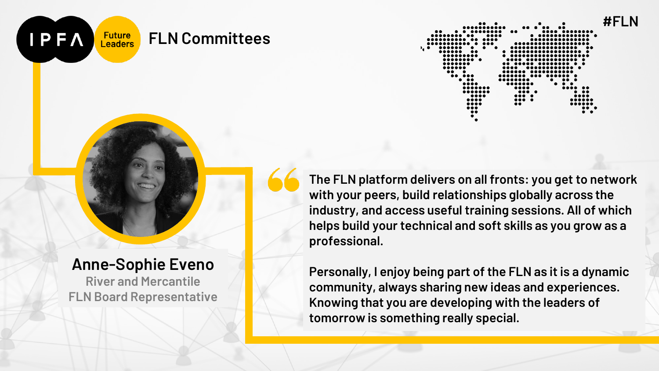

#### **Anne-Sophie Eveno**

**IPFA** 

**River and Mercantile FLN Board Representative** **The FLN platform delivers on all fronts: you get to network with your peers, build relationships globally across the industry, and access useful training sessions. All of which helps build your technical and soft skills as you grow as a professional.**

**Personally, I enjoy being part of the FLN as it is a dynamic community, always sharing new ideas and experiences. Knowing that you are developing with the leaders of tomorrow is something really special.**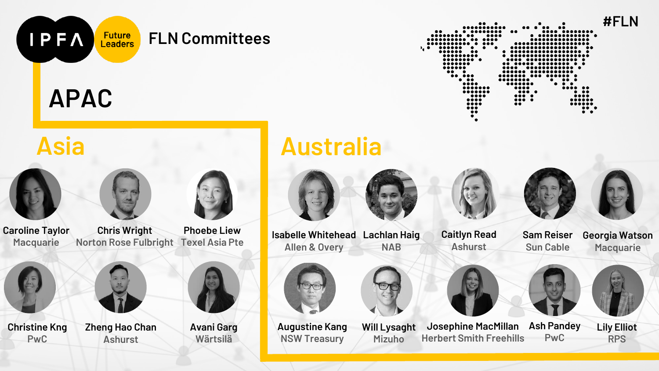**APAC**

**IPFA** 

**#FLN** .... ....

**Asia Australia Lachlan Haig Isabelle Whitehead NAB Josephine MacMillan Herbert Smith Freehills Sam Reiser Sun Cable Georgia Watson Macquarie Augustine Kang NSW Treasury Chris Wright Norton Rose Fulbright Phoebe Liew Texel Asia Pte Caroline Taylor Macquarie Caitlyn Read Ashurst Will Lysaght Mizuho Allen & Overy Christine Kng PwC Zheng Hao Chan Ashurst Avani Garg Wärtsilä Lily Elliot RPS Ash Pandey PwC**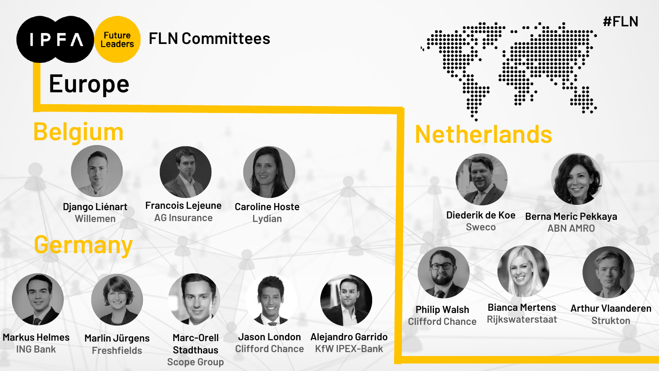

**Markus Helmes ING Bank**

**Marlin Jürgens Freshfields**

**Marc-Orell Stadthaus Scope Group**

**Jason London Clifford Chance**

**Alejandro Garrido KfW IPEX-Bank**

**Arthur Vlaanderen Strukton**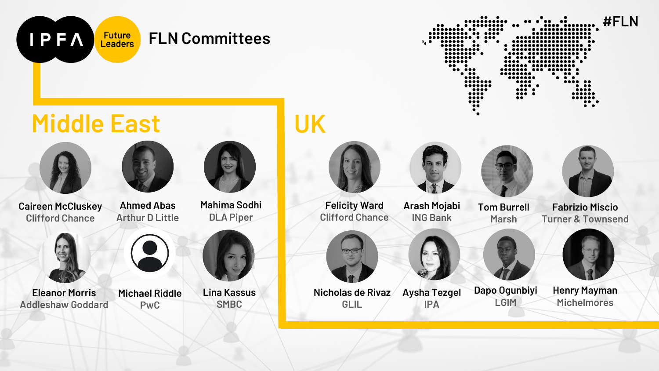| $\bullet\bullet$                             | $\cdots$<br><br>$\bullet\ \bullet\ \bullet\bullet\bullet\bullet\bullet\bullet\bullet\bullet$<br><u> </u> |                                                                                | $\cdots$ .                                                  | #FL |
|----------------------------------------------|----------------------------------------------------------------------------------------------------------|--------------------------------------------------------------------------------|-------------------------------------------------------------|-----|
| <br>,,,,,                                    |                                                                                                          |                                                                                |                                                             |     |
| <br>•.∙                                      | $\bullet$ $\bullet$                                                                                      | $\bullet$                                                                      |                                                             |     |
|                                              |                                                                                                          |                                                                                | $\bullet\quad$                                              |     |
|                                              |                                                                                                          |                                                                                | .<br>                                                       |     |
| $\bullet\bullet\bullet\bullet\bullet\bullet$ |                                                                                                          |                                                                                | .                                                           |     |
| $\bullet\bullet\quad\bullet$                 |                                                                                                          | <br>.                                                                          |                                                             |     |
|                                              | $\bullet\;\bullet\bullet$<br>$\bullet\bullet\bullet\bullet$                                              | ${\small \bullet \bullet \bullet \bullet \bullet \bullet \bullet \bullet}$<br> | $\bullet\quad\bullet\bullet\quad\bullet$<br>$\cdots$        |     |
|                                              |                                                                                                          | $\bullet\bullet\bullet\bullet$                                                 |                                                             |     |
|                                              | <br>                                                                                                     | $\cdots$<br>$\cdots$                                                           | $\bullet\;\bullet\bullet$<br>$\bullet\bullet\bullet\bullet$ |     |
|                                              | <br>$\bullet\bullet\bullet\bullet$                                                                       | $\cdots$<br>$\bullet\bullet$                                                   | <br>                                                        |     |
|                                              | $\bullet\bullet\bullet$                                                                                  |                                                                                | $\cdots$                                                    |     |
|                                              | $\bullet\bullet$<br>٠                                                                                    |                                                                                |                                                             |     |

# **Middle East**



**IPFA** 



**Caireen McCluskey Clifford Chance Ahmed Abas Arthur D Little**



**Eleanor Morris Addleshaw Goddard**



**Michael Riddle PwC**

**Mahima Sodhi DLA Piper**



**SMBC**

### **UK**





**Fabrizio Miscio Turner & Townsend**



**Henry Mayman Michelmores**